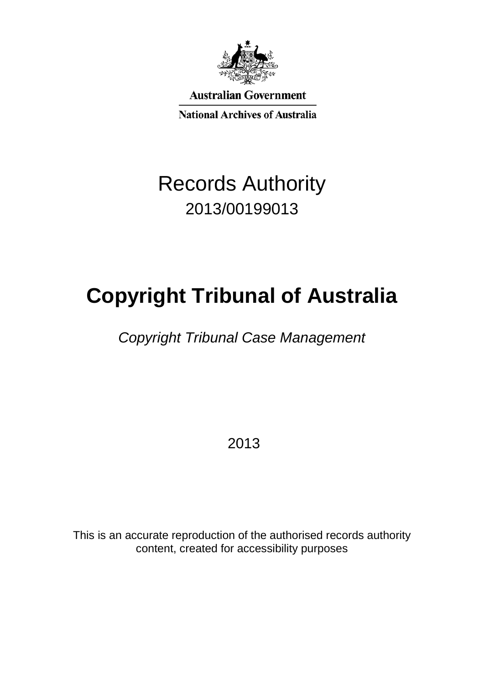

**Australian Government** 

**National Archives of Australia** 

## Records Authority 2013/00199013

# **Copyright Tribunal of Australia**

*Copyright Tribunal Case Management*

2013

This is an accurate reproduction of the authorised records authority content, created for accessibility purposes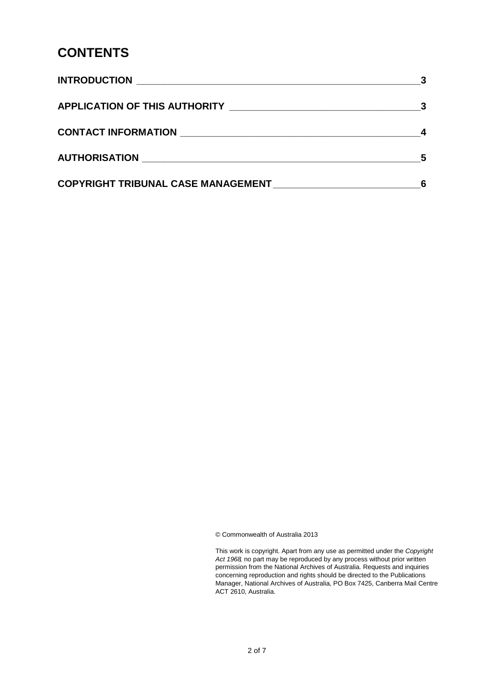#### **CONTENTS**

|                                           | 5 |
|-------------------------------------------|---|
| <b>COPYRIGHT TRIBUNAL CASE MANAGEMENT</b> |   |

© Commonwealth of Australia 2013

This work is copyright. Apart from any use as permitted under the *Copyright Act 1968,* no part may be reproduced by any process without prior written permission from the National Archives of Australia. Requests and inquiries concerning reproduction and rights should be directed to the Publications Manager, National Archives of Australia, PO Box 7425, Canberra Mail Centre ACT 2610, Australia.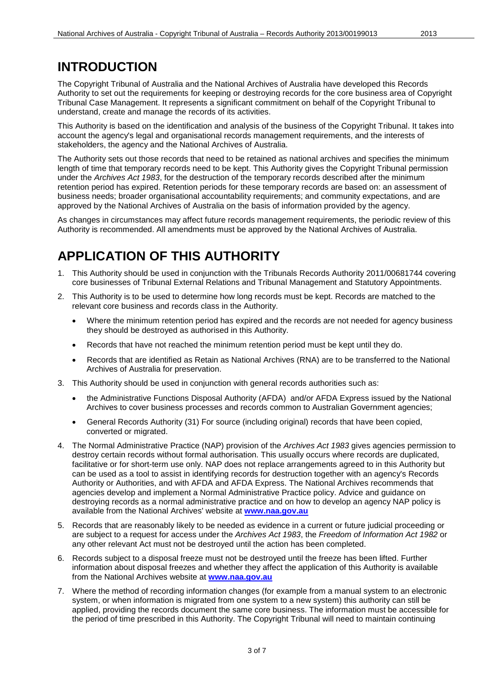#### **INTRODUCTION**

The Copyright Tribunal of Australia and the National Archives of Australia have developed this Records Authority to set out the requirements for keeping or destroying records for the core business area of Copyright Tribunal Case Management. It represents a significant commitment on behalf of the Copyright Tribunal to understand, create and manage the records of its activities.

This Authority is based on the identification and analysis of the business of the Copyright Tribunal. It takes into account the agency's legal and organisational records management requirements, and the interests of stakeholders, the agency and the National Archives of Australia.

The Authority sets out those records that need to be retained as national archives and specifies the minimum length of time that temporary records need to be kept. This Authority gives the Copyright Tribunal permission under the *Archives Act 1983*, for the destruction of the temporary records described after the minimum retention period has expired. Retention periods for these temporary records are based on: an assessment of business needs; broader organisational accountability requirements; and community expectations, and are approved by the National Archives of Australia on the basis of information provided by the agency.

As changes in circumstances may affect future records management requirements, the periodic review of this Authority is recommended. All amendments must be approved by the National Archives of Australia.

### **APPLICATION OF THIS AUTHORITY**

- 1. This Authority should be used in conjunction with the Tribunals Records Authority 2011/00681744 covering core businesses of Tribunal External Relations and Tribunal Management and Statutory Appointments.
- 2. This Authority is to be used to determine how long records must be kept. Records are matched to the relevant core business and records class in the Authority.
	- Where the minimum retention period has expired and the records are not needed for agency business they should be destroyed as authorised in this Authority.
	- Records that have not reached the minimum retention period must be kept until they do.
	- Records that are identified as Retain as National Archives (RNA) are to be transferred to the National Archives of Australia for preservation.
- 3. This Authority should be used in conjunction with general records authorities such as:
	- the Administrative Functions Disposal Authority (AFDA) and/or AFDA Express issued by the National Archives to cover business processes and records common to Australian Government agencies;
	- General Records Authority (31) For source (including original) records that have been copied, converted or migrated.
- 4. The Normal Administrative Practice (NAP) provision of the *Archives Act 1983* gives agencies permission to destroy certain records without formal authorisation. This usually occurs where records are duplicated, facilitative or for short-term use only. NAP does not replace arrangements agreed to in this Authority but can be used as a tool to assist in identifying records for destruction together with an agency's Records Authority or Authorities, and with AFDA and AFDA Express. The National Archives recommends that agencies develop and implement a Normal Administrative Practice policy. Advice and guidance on destroying records as a normal administrative practice and on how to develop an agency NAP policy is available from the National Archives' website at **[www.naa.gov.au](http://www.naa.gov.au/)**
- 5. Records that are reasonably likely to be needed as evidence in a current or future judicial proceeding or are subject to a request for access under the *Archives Act 1983*, the *Freedom of Information Act 1982* or any other relevant Act must not be destroyed until the action has been completed.
- 6. Records subject to a disposal freeze must not be destroyed until the freeze has been lifted. Further information about disposal freezes and whether they affect the application of this Authority is available from the National Archives website at **[www.naa.gov.au](http://www.naa.gov.au/)**
- 7. Where the method of recording information changes (for example from a manual system to an electronic system, or when information is migrated from one system to a new system) this authority can still be applied, providing the records document the same core business. The information must be accessible for the period of time prescribed in this Authority. The Copyright Tribunal will need to maintain continuing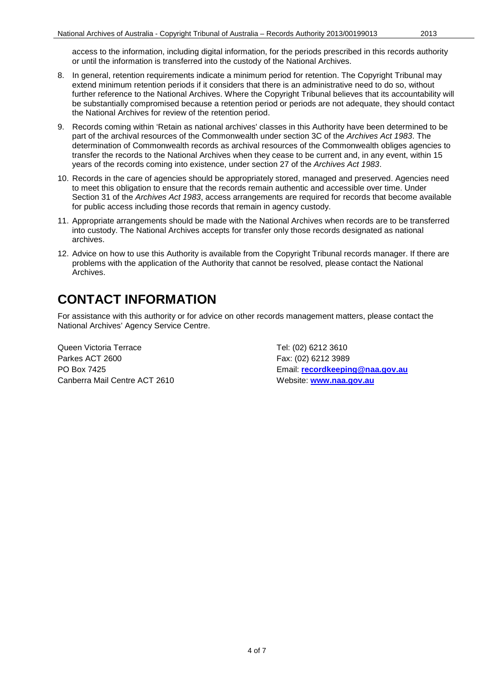- 8. In general, retention requirements indicate a minimum period for retention. The Copyright Tribunal may extend minimum retention periods if it considers that there is an administrative need to do so, without further reference to the National Archives. Where the Copyright Tribunal believes that its accountability will be substantially compromised because a retention period or periods are not adequate, they should contact the National Archives for review of the retention period.
- 9. Records coming within 'Retain as national archives' classes in this Authority have been determined to be part of the archival resources of the Commonwealth under section 3C of the *Archives Act 1983*. The determination of Commonwealth records as archival resources of the Commonwealth obliges agencies to transfer the records to the National Archives when they cease to be current and, in any event, within 15 years of the records coming into existence, under section 27 of the *Archives Act 1983*.
- 10. Records in the care of agencies should be appropriately stored, managed and preserved. Agencies need to meet this obligation to ensure that the records remain authentic and accessible over time. Under Section 31 of the *Archives Act 1983*, access arrangements are required for records that become available for public access including those records that remain in agency custody.
- 11. Appropriate arrangements should be made with the National Archives when records are to be transferred into custody. The National Archives accepts for transfer only those records designated as national archives.
- 12. Advice on how to use this Authority is available from the Copyright Tribunal records manager. If there are problems with the application of the Authority that cannot be resolved, please contact the National Archives.

#### **CONTACT INFORMATION**

For assistance with this authority or for advice on other records management matters, please contact the National Archives' Agency Service Centre.

Queen Victoria Terrace Tel: (02) 6212 3610 Parkes ACT 2600 Fax: (02) 6212 3989 Canberra Mail Centre ACT 2610 Website: **[www.naa.gov.au](http://www.naa.gov.au/)**

PO Box 7425 Email: **[recordkeeping@naa.gov.au](mailto:recordkeeping@naa.gov.au)**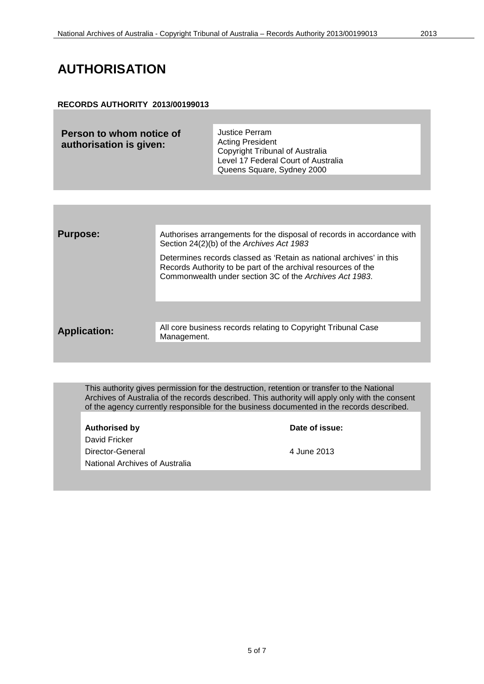#### **AUTHORISATION**

#### **RECORDS AUTHORITY 2013/00199013**

| Person to whom notice of<br>authorisation is given: | Justice Perram<br><b>Acting President</b><br>Copyright Tribunal of Australia<br>Level 17 Federal Court of Australia |
|-----------------------------------------------------|---------------------------------------------------------------------------------------------------------------------|
|                                                     | Queens Square, Sydney 2000                                                                                          |

| <b>Purpose:</b>     | Authorises arrangements for the disposal of records in accordance with<br>Section 24(2)(b) of the Archives Act 1983                                                                             |
|---------------------|-------------------------------------------------------------------------------------------------------------------------------------------------------------------------------------------------|
|                     | Determines records classed as 'Retain as national archives' in this<br>Records Authority to be part of the archival resources of the<br>Commonwealth under section 3C of the Archives Act 1983. |
|                     |                                                                                                                                                                                                 |
| <b>Application:</b> | All core business records relating to Copyright Tribunal Case<br>Management.                                                                                                                    |
|                     |                                                                                                                                                                                                 |

This authority gives permission for the destruction, retention or transfer to the National Archives of Australia of the records described. This authority will apply only with the consent of the agency currently responsible for the business documented in the records described.

Authorised by **Date of issue:** David Fricker Director-General 2013 National Archives of Australia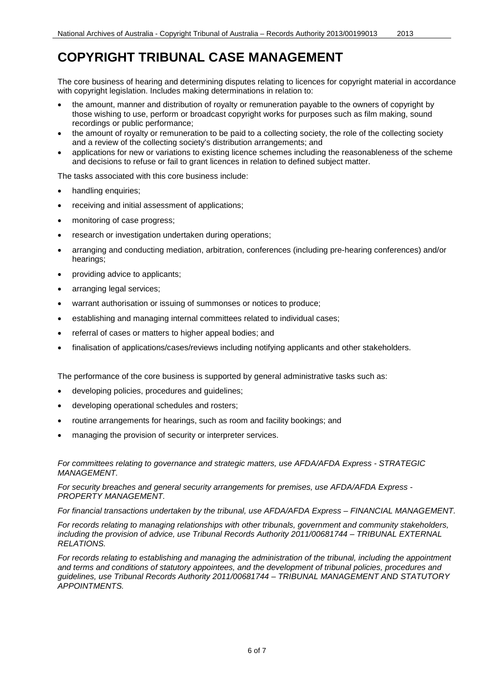#### **COPYRIGHT TRIBUNAL CASE MANAGEMENT**

The core business of hearing and determining disputes relating to licences for copyright material in accordance with copyright legislation. Includes making determinations in relation to:

- the amount, manner and distribution of royalty or remuneration payable to the owners of copyright by those wishing to use, perform or broadcast copyright works for purposes such as film making, sound recordings or public performance;
- the amount of royalty or remuneration to be paid to a collecting society, the role of the collecting society and a review of the collecting society's distribution arrangements; and
- applications for new or variations to existing licence schemes including the reasonableness of the scheme and decisions to refuse or fail to grant licences in relation to defined subject matter.

The tasks associated with this core business include:

- handling enquiries;
- receiving and initial assessment of applications;
- monitoring of case progress;
- research or investigation undertaken during operations;
- arranging and conducting mediation, arbitration, conferences (including pre-hearing conferences) and/or hearings;
- providing advice to applicants;
- arranging legal services;
- warrant authorisation or issuing of summonses or notices to produce;
- establishing and managing internal committees related to individual cases;
- referral of cases or matters to higher appeal bodies; and
- finalisation of applications/cases/reviews including notifying applicants and other stakeholders.

The performance of the core business is supported by general administrative tasks such as:

- developing policies, procedures and guidelines;
- developing operational schedules and rosters;
- routine arrangements for hearings, such as room and facility bookings; and
- managing the provision of security or interpreter services.

*For committees relating to governance and strategic matters, use AFDA/AFDA Express - STRATEGIC MANAGEMENT.*

*For security breaches and general security arrangements for premises, use AFDA/AFDA Express - PROPERTY MANAGEMENT.* 

*For financial transactions undertaken by the tribunal, use AFDA/AFDA Express – FINANCIAL MANAGEMENT.*

*For records relating to managing relationships with other tribunals, government and community stakeholders, including the provision of advice, use Tribunal Records Authority 2011/00681744 – TRIBUNAL EXTERNAL RELATIONS.*

*For records relating to establishing and managing the administration of the tribunal, including the appointment and terms and conditions of statutory appointees, and the development of tribunal policies, procedures and guidelines, use Tribunal Records Authority 2011/00681744 – TRIBUNAL MANAGEMENT AND STATUTORY APPOINTMENTS.*